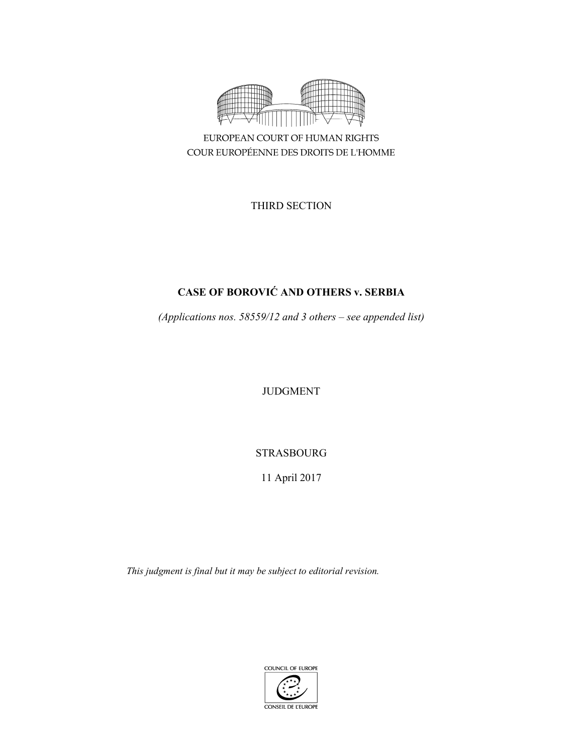

COUR EUROPÉENNE DES DROITS DE L'HOMME

THIRD SECTION

# **CASE OF BOROVIĆ AND OTHERS v. SERBIA**

*(Applications nos. 58559/12 and 3 others – see appended list)* 

JUDGMENT

STRASBOURG

11 April 2017

*This judgment is final but it may be subject to editorial revision.* 

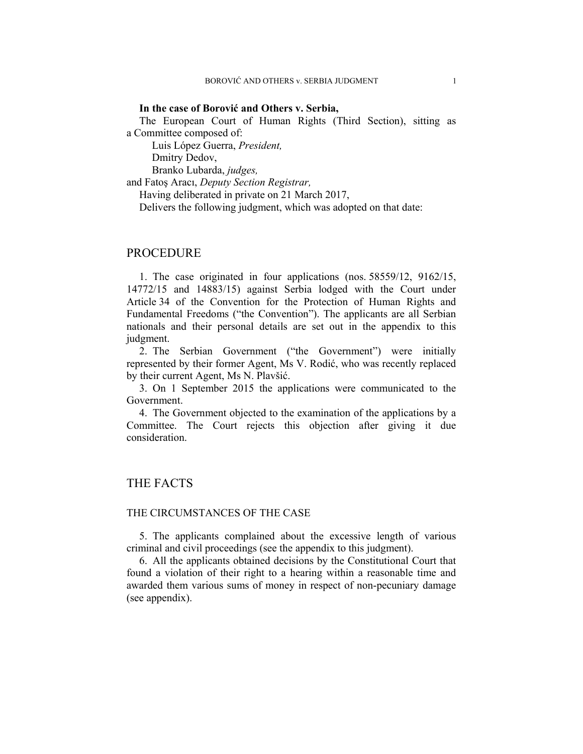### **In the case of Borović and Others v. Serbia,**

The European Court of Human Rights (Third Section), sitting as a Committee composed of:

 Luis López Guerra, *President,*  Dmitry Dedov,

Branko Lubarda, *judges,*

and Fatoş Aracı, *Deputy Section Registrar,*

Having deliberated in private on 21 March 2017,

Delivers the following judgment, which was adopted on that date:

## PROCEDURE

1. The case originated in four applications (nos. 58559/12, 9162/15, 14772/15 and 14883/15) against Serbia lodged with the Court under Article 34 of the Convention for the Protection of Human Rights and Fundamental Freedoms ("the Convention"). The applicants are all Serbian nationals and their personal details are set out in the appendix to this judgment.

2. The Serbian Government ("the Government") were initially represented by their former Agent, Ms V. Rodić, who was recently replaced by their current Agent, Ms N. Plavšić.

3. On 1 September 2015 the applications were communicated to the Government.

4. The Government objected to the examination of the applications by a Committee. The Court rejects this objection after giving it due consideration.

## THE FACTS

## THE CIRCUMSTANCES OF THE CASE

5. The applicants complained about the excessive length of various criminal and civil proceedings (see the appendix to this judgment).

6. All the applicants obtained decisions by the Constitutional Court that found a violation of their right to a hearing within a reasonable time and awarded them various sums of money in respect of non-pecuniary damage (see appendix).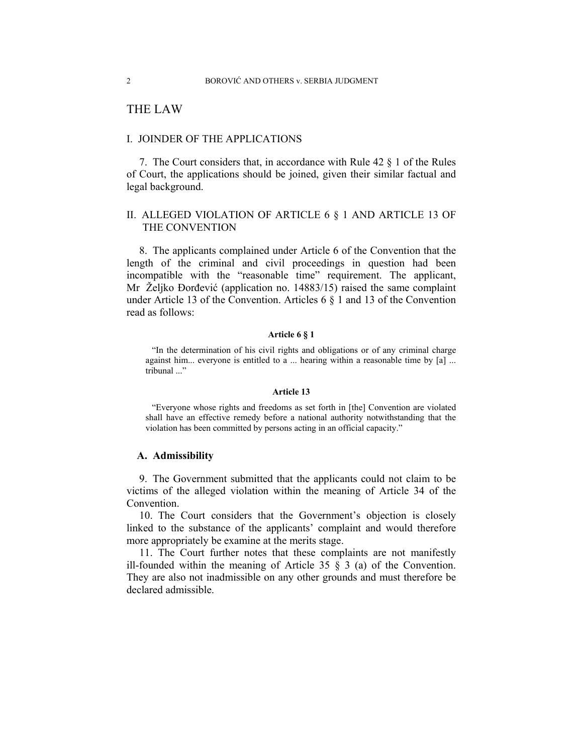## THE LAW

## I. JOINDER OF THE APPLICATIONS

7. The Court considers that, in accordance with Rule 42 § 1 of the Rules of Court, the applications should be joined, given their similar factual and legal background.

## II. ALLEGED VIOLATION OF ARTICLE 6 § 1 AND ARTICLE 13 OF THE CONVENTION

8. The applicants complained under Article 6 of the Convention that the length of the criminal and civil proceedings in question had been incompatible with the "reasonable time" requirement. The applicant, Mr Željko Đorđević (application no. 14883/15) raised the same complaint under Article 13 of the Convention. Articles 6 § 1 and 13 of the Convention read as follows:

## **Article 6 § 1**

"In the determination of his civil rights and obligations or of any criminal charge against him... everyone is entitled to a ... hearing within a reasonable time by [a] ... tribunal ..."

#### **Article 13**

"Everyone whose rights and freedoms as set forth in [the] Convention are violated shall have an effective remedy before a national authority notwithstanding that the violation has been committed by persons acting in an official capacity."

## **A. Admissibility**

9. The Government submitted that the applicants could not claim to be victims of the alleged violation within the meaning of Article 34 of the Convention.

10. The Court considers that the Government's objection is closely linked to the substance of the applicants' complaint and would therefore more appropriately be examine at the merits stage.

11. The Court further notes that these complaints are not manifestly ill-founded within the meaning of Article 35  $\S$  3 (a) of the Convention. They are also not inadmissible on any other grounds and must therefore be declared admissible.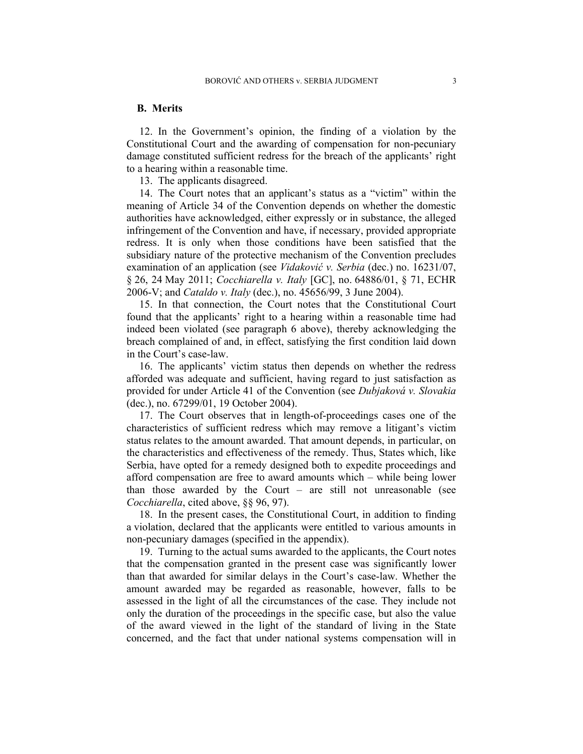## **B. Merits**

12. In the Government's opinion, the finding of a violation by the Constitutional Court and the awarding of compensation for non-pecuniary damage constituted sufficient redress for the breach of the applicants' right to a hearing within a reasonable time.

13. The applicants disagreed.

14. The Court notes that an applicant's status as a "victim" within the meaning of Article 34 of the Convention depends on whether the domestic authorities have acknowledged, either expressly or in substance, the alleged infringement of the Convention and have, if necessary, provided appropriate redress. It is only when those conditions have been satisfied that the subsidiary nature of the protective mechanism of the Convention precludes examination of an application (see *Vidaković v. Serbia* (dec.) no. 16231/07, § 26, 24 May 2011; *Cocchiarella v. Italy* [GC], no. 64886/01, § 71, ECHR 2006-V; and *Cataldo v. Italy* (dec.), no. 45656/99, 3 June 2004).

15. In that connection, the Court notes that the Constitutional Court found that the applicants' right to a hearing within a reasonable time had indeed been violated (see paragraph 6 above), thereby acknowledging the breach complained of and, in effect, satisfying the first condition laid down in the Court's case-law.

16. The applicants' victim status then depends on whether the redress afforded was adequate and sufficient, having regard to just satisfaction as provided for under Article 41 of the Convention (see *Dubjaková v. Slovakia* (dec.), no. 67299/01, 19 October 2004).

17. The Court observes that in length-of-proceedings cases one of the characteristics of sufficient redress which may remove a litigant's victim status relates to the amount awarded. That amount depends, in particular, on the characteristics and effectiveness of the remedy. Thus, States which, like Serbia, have opted for a remedy designed both to expedite proceedings and afford compensation are free to award amounts which – while being lower than those awarded by the Court – are still not unreasonable (see *Cocchiarella*, cited above, §§ 96, 97).

18. In the present cases, the Constitutional Court, in addition to finding a violation, declared that the applicants were entitled to various amounts in non-pecuniary damages (specified in the appendix).

19. Turning to the actual sums awarded to the applicants, the Court notes that the compensation granted in the present case was significantly lower than that awarded for similar delays in the Court's case-law. Whether the amount awarded may be regarded as reasonable, however, falls to be assessed in the light of all the circumstances of the case. They include not only the duration of the proceedings in the specific case, but also the value of the award viewed in the light of the standard of living in the State concerned, and the fact that under national systems compensation will in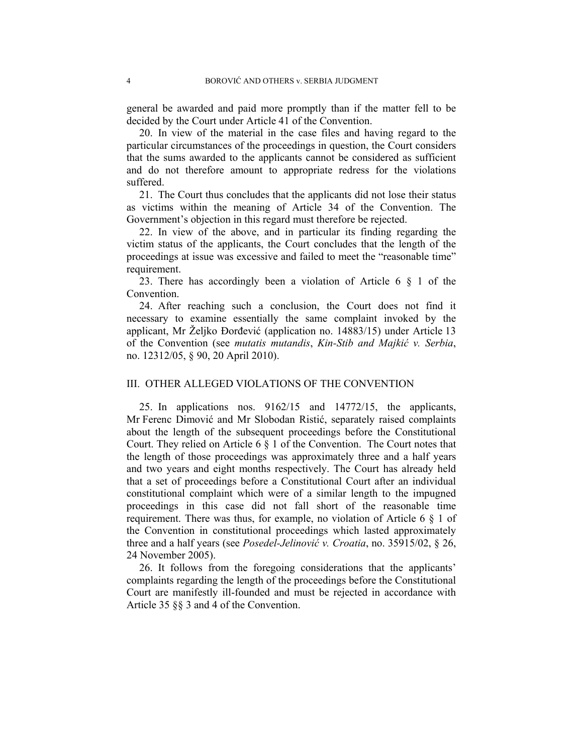general be awarded and paid more promptly than if the matter fell to be decided by the Court under Article 41 of the Convention.

20. In view of the material in the case files and having regard to the particular circumstances of the proceedings in question, the Court considers that the sums awarded to the applicants cannot be considered as sufficient and do not therefore amount to appropriate redress for the violations suffered.

21. The Court thus concludes that the applicants did not lose their status as victims within the meaning of Article 34 of the Convention. The Government's objection in this regard must therefore be rejected.

22. In view of the above, and in particular its finding regarding the victim status of the applicants, the Court concludes that the length of the proceedings at issue was excessive and failed to meet the "reasonable time" requirement.

23. There has accordingly been a violation of Article 6 § 1 of the Convention.

24. After reaching such a conclusion, the Court does not find it necessary to examine essentially the same complaint invoked by the applicant, Mr Željko Đorđević (application no. 14883/15) under Article 13 of the Convention (see *mutatis mutandis*, *Kin-Stib and Majkić v. Serbia*, no. 12312/05, § 90, 20 April 2010).

### III. OTHER ALLEGED VIOLATIONS OF THE CONVENTION

25. In applications nos. 9162/15 and 14772/15, the applicants, Mr Ferenc Dimović and Mr Slobodan Ristić, separately raised complaints about the length of the subsequent proceedings before the Constitutional Court. They relied on Article 6 § 1 of the Convention. The Court notes that the length of those proceedings was approximately three and a half years and two years and eight months respectively. The Court has already held that a set of proceedings before a Constitutional Court after an individual constitutional complaint which were of a similar length to the impugned proceedings in this case did not fall short of the reasonable time requirement. There was thus, for example, no violation of Article 6 § 1 of the Convention in constitutional proceedings which lasted approximately three and a half years (see *Posedel-Jelinović v. Croatia*, no. 35915/02, § 26, 24 November 2005).

26. It follows from the foregoing considerations that the applicants' complaints regarding the length of the proceedings before the Constitutional Court are manifestly ill-founded and must be rejected in accordance with Article 35 §§ 3 and 4 of the Convention.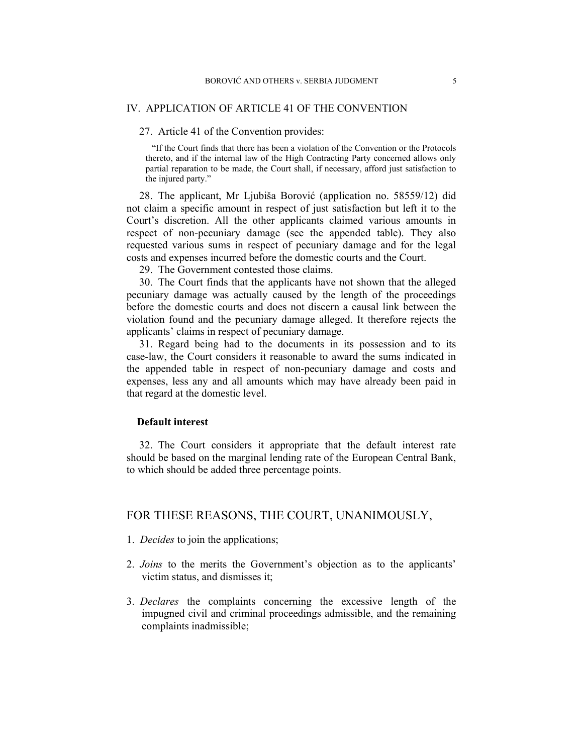## IV. APPLICATION OF ARTICLE 41 OF THE CONVENTION

27. Article 41 of the Convention provides:

"If the Court finds that there has been a violation of the Convention or the Protocols thereto, and if the internal law of the High Contracting Party concerned allows only partial reparation to be made, the Court shall, if necessary, afford just satisfaction to the injured party."

28. The applicant, Mr Ljubiša Borović (application no. 58559/12) did not claim a specific amount in respect of just satisfaction but left it to the Court's discretion. All the other applicants claimed various amounts in respect of non-pecuniary damage (see the appended table). They also requested various sums in respect of pecuniary damage and for the legal costs and expenses incurred before the domestic courts and the Court.

29. The Government contested those claims.

30. The Court finds that the applicants have not shown that the alleged pecuniary damage was actually caused by the length of the proceedings before the domestic courts and does not discern a causal link between the violation found and the pecuniary damage alleged. It therefore rejects the applicants' claims in respect of pecuniary damage.

31. Regard being had to the documents in its possession and to its case-law, the Court considers it reasonable to award the sums indicated in the appended table in respect of non-pecuniary damage and costs and expenses, less any and all amounts which may have already been paid in that regard at the domestic level.

## **Default interest**

32. The Court considers it appropriate that the default interest rate should be based on the marginal lending rate of the European Central Bank, to which should be added three percentage points.

## FOR THESE REASONS, THE COURT, UNANIMOUSLY,

- 1. *Decides* to join the applications;
- 2. *Joins* to the merits the Government's objection as to the applicants' victim status, and dismisses it;
- 3. *Declares* the complaints concerning the excessive length of the impugned civil and criminal proceedings admissible, and the remaining complaints inadmissible;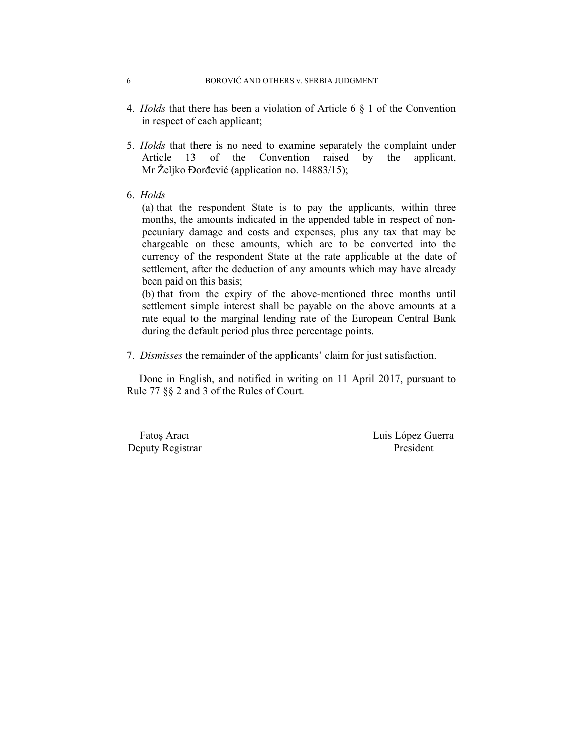- 4. *Holds* that there has been a violation of Article 6 § 1 of the Convention in respect of each applicant;
- 5. *Holds* that there is no need to examine separately the complaint under Article 13 of the Convention raised by the applicant, Mr Željko Đorđević (application no. 14883/15);
- 6. *Holds*

(a) that the respondent State is to pay the applicants, within three months, the amounts indicated in the appended table in respect of nonpecuniary damage and costs and expenses, plus any tax that may be chargeable on these amounts, which are to be converted into the currency of the respondent State at the rate applicable at the date of settlement, after the deduction of any amounts which may have already been paid on this basis;

(b) that from the expiry of the above-mentioned three months until settlement simple interest shall be payable on the above amounts at a rate equal to the marginal lending rate of the European Central Bank during the default period plus three percentage points.

7. *Dismisses* the remainder of the applicants' claim for just satisfaction.

Done in English, and notified in writing on 11 April 2017, pursuant to Rule 77 §§ 2 and 3 of the Rules of Court.

Deputy Registrar President

Fatos Aracı Luis López Guerra